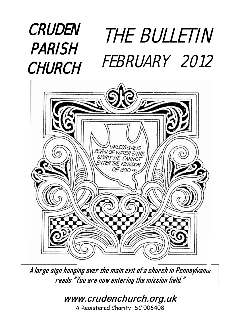# CRUDEN PARISH CHURCH THE BULLETIN FEBRUARY 2012



A large sign hanging over the main exit of a church in Pennsylvania reads "You are now entering the mission field."

[www.crudenc](http://www.cruden/)hurch.org.uk

A Registered Charity SC 006408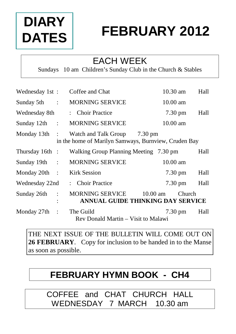# **DIARY DATES**

# **FEBRUARY 2012**

### EACH WEEK

Sundays 10 am Children's Sunday Club in the Church & Stables

| Wednesday 1st:  |                | Coffee and Chat                                                                      |                    | $10.30$ am         | Hall |
|-----------------|----------------|--------------------------------------------------------------------------------------|--------------------|--------------------|------|
| Sunday 5th      | $\div$         | <b>MORNING SERVICE</b>                                                               |                    | $10.00$ am         |      |
| Wednesday 8th   |                | : Choir Practice                                                                     |                    | $7.30 \text{ pm}$  | Hall |
| Sunday $12th$ : |                | <b>MORNING SERVICE</b>                                                               |                    | $10.00 \text{ am}$ |      |
| Monday $13th$ : |                | Watch and Talk Group 7.30 pm<br>in the home of Marilyn Samways, Burnview, Cruden Bay |                    |                    |      |
| Thursday 16th : |                | Walking Group Planning Meeting 7.30 pm                                               |                    |                    | Hall |
| Sunday 19th:    |                | <b>MORNING SERVICE</b>                                                               |                    | $10.00 \text{ am}$ |      |
| Monday $20th$ : |                | <b>Kirk Session</b>                                                                  |                    | $7.30 \text{ pm}$  | Hall |
| Wednesday 22nd  |                | : Choir Practice                                                                     |                    | $7.30 \text{ pm}$  | Hall |
| Sunday 26th     | $\ddot{\cdot}$ | MORNING SERVICE<br>ANNUAL GUIDE THINKING DAY SERVICE                                 | $10.00 \text{ am}$ | Church             |      |
| Monday 27th     | $\cdot$ :      | The Guild<br>Rev Donald Martin – Visit to Malawi                                     |                    | $7.30 \text{ pm}$  | Hall |

THE NEXT ISSUE OF THE BULLETIN WILL COME OUT ON **26 FEBRUARY**. Copy for inclusion to be handed in to the Manse as soon as possible.

# **FEBRUARY HYMN BOOK - CH4**

COFFEE and CHAT CHURCH HALL WEDNESDAY 7 MARCH 10.30 am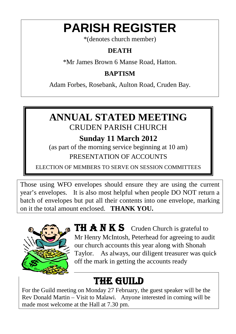# **PARISH REGISTER**

\*(denotes church member)

#### **DEATH**

\*Mr James Brown 6 Manse Road, Hatton.

#### **BAPTISM**

Adam Forbes, Rosebank, Aulton Road, Cruden Bay.

# **ANNUAL STATED MEETING** CRUDEN PARISH CHURCH

### **Sunday 11 March 2012**

(as part of the morning service beginning at 10 am)

#### PRESENTATION OF ACCOUNTS

ELECTION OF MEMBERS TO SERVE ON SESSION COMMITTEES

Those using WFO envelopes should ensure they are using the current year's envelopes. It is also most helpful when people DO NOT return a batch of envelopes but put all their contents into one envelope, marking on it the total amount enclosed. **THANK YOU.**



TH **A N K S** Cruden Church is grateful to Mr Henry McIntosh, Peterhead for agreeing to audit our church accounts this year along with Shonah Taylor. As always, our diligent treasurer was quick off the mark in getting the accounts ready

# THE GUILD

For the Guild meeting on Monday 27 February, the guest speaker will be the Rev Donald Martin – Visit to Malawi. Anyone interested in coming will be made most welcome at the Hall at 7.30 pm.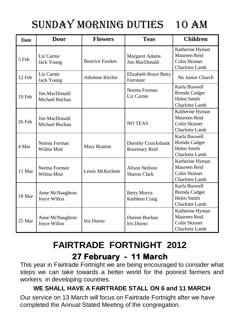# SUNDAY MORNING DUTIES 10 am

| <b>Date</b> | Door                            | <b>Flowers</b>          | <b>Teas</b>                               | <b>Children</b>                                                        |
|-------------|---------------------------------|-------------------------|-------------------------------------------|------------------------------------------------------------------------|
| 5 Feb       | Liz Carnie<br><b>Jack Young</b> | <b>Beatrice Fawkes</b>  | <b>Margaret Adams</b><br>Jim MacDonald    | Katherine Hyman<br>Maureen Reid<br>Colin Skinner<br>Charlotte Lamb     |
| 12 Feb      | Liz Carnie<br><b>Jack Young</b> | <b>Atholene Ritchie</b> | <b>Elizabeth Bruce Betty</b><br>Forrester | No Junior Church                                                       |
| 19 Feb      | Jim MacDonald<br>Michael Buchan |                         | Norma Forman<br>Liz Carnie                | Karla Buswell<br><b>Brenda Cadger</b><br>Helen Smith<br>Charlotte Lamb |
| $26$ Feb    | Jim MacDonald<br>Michael Buchan |                         | <b>NO TEAS</b>                            | Katherine Hyman<br>Maureen Reid<br>Colin Skinner<br>Charlotte Lamb     |
| 4 Mar       | Norma Forman<br>Wilma Moir      | <b>Mary Bratton</b>     | Dorothy Cruickshank<br>Rosemary Reid      | Karla Buswell<br><b>Brenda Cadger</b><br>Helen Smith<br>Charlotte Lamb |
| 11 Mar      | Norma Forman<br>Wilma Moir      | Lewis McKechnie         | Alison Neilson<br><b>Sharon Clark</b>     | Katherine Hyman<br>Maureen Reid<br>Colin Skinner<br>Charlotte Lamb     |
| 18 Mar      | Anne McNaughton<br>Joyce Willox |                         | <b>Betty Morris</b><br>Kathleen Craig     | Karla Buswell<br><b>Brenda Cadger</b><br>Helen Smith<br>Charlotte Lamb |
| 25 Mar      | Anne McNaughton<br>Joyce Willox | Iris Durno              | Doreen Buchan<br>Iris Durno               | Katherine Hyman<br>Maureen Reid<br>Colin Skinner<br>Charlotte Lamb     |

### **FAIRTRADE FORTNIGHT 2012 27 February - 11 March**

This year in Fairtrade Fortnight we are being encouraged to consider what steps we can take towards a better world for the poorest farmers and workers in developing countries.

#### **WE SHALL HAVE A FAIRTRADE STALL ON 6 and 11 MARCH**

Our service on 13 March will focus on Fairtrade Fortnight after we have completed the Annual Stated Meeting of the congregation.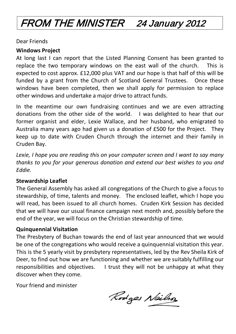# FROM THE MINISTER 24 January 2012

Dear Friends

#### **Windows Project**

At long last I can report that the Listed Planning Consent has been granted to replace the two temporary windows on the east wall of the church. This is expected to cost approx. £12,000 plus VAT and our hope is that half of this will be funded by a grant from the Church of Scotland General Trustees. Once these windows have been completed, then we shall apply for permission to replace other windows and undertake a major drive to attract funds.

In the meantime our own fundraising continues and we are even attracting donations from the other side of the world. I was delighted to hear that our former organist and elder, Lexie Wallace, and her husband, who emigrated to Australia many years ago had given us a donation of £500 for the Project. They keep up to date with Cruden Church through the internet and their family in Cruden Bay.

*Lexie, I hope you are reading this on your computer screen and I want to say many thanks to you for your generous donation and extend our best wishes to you and Eddie.*

#### **Stewardship Leaflet**

The General Assembly has asked all congregations of the Church to give a focus to stewardship, of time, talents and money. The enclosed leaflet, which I hope you will read, has been issued to all church homes. Cruden Kirk Session has decided that we will have our usual finance campaign next month and, possibly before the end of the year, we will focus on the Christian stewardship of time.

#### **Quinquennial Visitation**

The Presbytery of Buchan towards the end of last year announced that we would be one of the congregations who would receive a quinquennial visitation this year. This is the 5 yearly visit by presbytery representatives, led by the Rev Sheila Kirk of Deer, to find out how we are functioning and whether we are suitably fulfilling our responsibilities and objectives. I trust they will not be unhappy at what they discover when they come.

Your friend and minister

Rodges Neils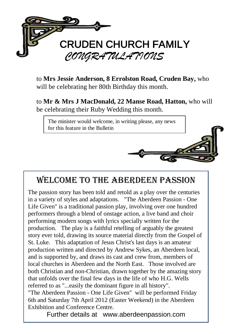

to **Mrs Jessie Anderson, 8 Errolston Road, Cruden Bay,** who will be celebrating her 80th Birthday this month.

to **Mr & Mrs J MacDonald, 22 Manse Road, Hatton,** who will be celebrating their Ruby Wedding this month.

The minister would welcome, in writing please, any news for this feature in the Bulletin

### Welcome to the Aberdeen Passion

The passion story has been told and retold as a play over the centuries in a variety of styles and adaptations. "The Aberdeen Passion - One Life Given" is a traditional passion play, involving over one hundred performers through a blend of onstage action, a live band and choir performing modern songs with lyrics specially written for the production. The play is a faithful retelling of arguably the greatest story ever told, drawing its source material directly from the Gospel of St. Luke. This adaptation of Jesus Christ's last days is an amateur production written and directed by Andrew Sykes, an Aberdeen local, and is supported by, and draws its cast and crew from, members of local churches in Aberdeen and the North East. Those involved are both Christian and non-Christian, drawn together by the amazing story that unfolds over the final few days in the life of who H.G. Wells referred to as "...easily the dominant figure in all history".

"The Aberdeen Passion - One Life Given" will be performed Friday 6th and Saturday 7th April 2012 (Easter Weekend) in the Aberdeen Exhibition and Conference Centre.

Further details at www.aberdeenpassion.com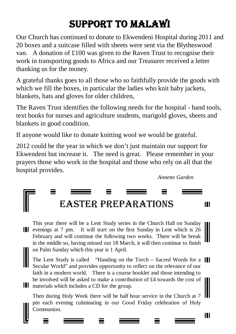# Support To Malawi

Our Church has continued to donate to Ekwendeni Hospital during 2011 and 20 boxes and a suitcase filled with sheets were sent via the Blytheswood van. A donation of £100 was given to the Raven Trust to recognise their work in transporting goods to Africa and our Treasurer received a letter thanking us for the money.

A grateful thanks goes to all those who so faithfully provide the goods with which we fill the boxes, in particular the ladies who knit baby jackets, blankets, hats and gloves for older children,

The Raven Trust identifies the following needs for the hospital - hand tools, text books for nurses and agriculture students, marigold gloves, sheets and blankets in good condition.

If anyone would like to donate knitting wool we would be grateful.

2012 could be the year in which we don't just maintain our support for Ekwendeni but increase it. The need is great. Please remember in your prayers those who work in the hospital and those who rely on all that the hospital provides.

*Annette Garden*

#### EASTER PREPARATIONS Ш

This year there will be a Lent Study series in the Church Hall on Sunday III evenings at 7 pm. It will start on the first Sunday in Lent which is 26 February and will continue the following two weeks. There will be break in the middle so, having missed out 18 March, it will then continue to finish on Palm Sunday which this year is 1 April.

The Lent Study is called "Handing on the Torch – Sacred Words for a Secular World" and provides opportunity to reflect on the relevance of our faith in a modern world. There is a course booklet and those intending to be involved will be asked to make a contribution of £4 towards the cost of **III** materials which includes a CD for the group.

Then during Holy Week there will be half hour service in the Church at 7 pm each evening culminating in our Good Friday celebration of Holy Communion.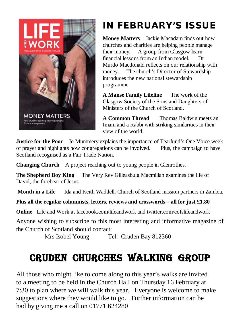

# IN FEBRUARY'S ISSUE

**Money Matters** Jackie Macadam finds out how churches and charities are helping people manage their money. A group from Glasgow learn financial lessons from an Indian model. Dr Murdo Macdonald reflects on our relationship with money. The church's Director of Stewardship introduces the new national stewardship programme.

**A Manse Family Lifeline** The work of the Glasgow Society of the Sons and Daughters of Ministers of the Church of Scotland.

**A Common Thread** Thomas Baldwin meets an Imam and a Rabbi with striking similarities in their view of the world.

**Justice for the Poor** Jo Mummery explains the importance of Tearfund's One Voice week of prayer and highlights how congregations can be involved. Plus, the campaign to have Scotland recognised as a Fair Trade Nation.

**Changing Church** A project reaching out to young people in Glenrothes.

**The Shepherd Boy King** The Very Rev Gilleasbuig Macmillan examines the life of David, the forebear of Jesus.

**Month in a Life** Ida and Keith Waddell, Church of Scotland mission partners in Zambia.

#### **Plus all the regular columnists, letters, reviews and crosswords – all for just £1.80**

**Online** Life and Work at facebook.com/lifeandwork and twitter.com/cofslifeandwork

Anyone wishing to subscribe to this most interesting and informative magazine of the Church of Scotland should contact:

```
Mrs Isobel Young Tel: Cruden Bay 812360
```
# Cruden CHURCHes WALKing group

All those who might like to come along to this year's walks are invited to a meeting to be held in the Church Hall on Thursday 16 February at 7:30 to plan where we will walk this year. Everyone is welcome to make suggestions where they would like to go. Further information can be had by giving me a call on 01771 624280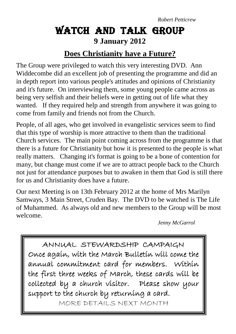# Watch And Talk Group **9 January 2012**

#### **Does Christianity have a Future?**

The Group were privileged to watch this very interesting DVD. Ann Widdecombe did an excellent job of presenting the programme and did an in depth report into various people's attitudes and opinions of Christianity and it's future. On interviewing them, some young people came across as being very selfish and their beliefs were in getting out of life what they wanted. If they required help and strength from anywhere it was going to come from family and friends not from the Church.

People, of all ages, who get involved in evangelistic services seem to find that this type of worship is more attractive to them than the traditional Church services. The main point coming across from the programme is that there is a future for Christianity but how it is presented to the people is what really matters. Changing it's format is going to be a bone of contention for many, but change must come if we are to attract people back to the Church not just for attendance purposes but to awaken in them that God is still there for us and Christianity does have a future.

Our next Meeting is on 13th February 2012 at the home of Mrs Marilyn Samways, 3 Main Street, Cruden Bay. The DVD to be watched is The Life of Muhammed. As always old and new members to the Group will be most welcome.

*Jenny McGarrol*

ANNUAL STEWARDSHIP CAMPAIGN Once again, with the March Bulletin will come the annual commitment card for members. Within the first three weeks of March, these cards will be collected by a church visitor. Please show your support to the church by returning a card.

MORE DETAILS NEXT MONTH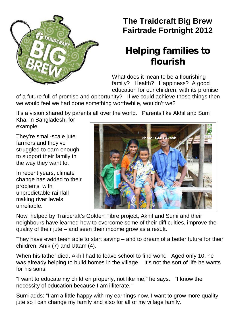

### **The Traidcraft Big Brew Fairtrade Fortnight 2012**

# **Helping families to flourish**

What does it mean to be a flourishing family? Health? Happiness? A good education for our children, with its promise

of a future full of promise and opportunity? If we could achieve those things then we would feel we had done something worthwhile, wouldn't we?

It's a vision shared by parents all over the world. Parents like Akhil and Sumi Kha, in Bangladesh, for

example.

They're small-scale jute farmers and they've struggled to earn enough to support their family in the way they want to.

In recent years, climate change has added to their problems, with unpredictable rainfall making river levels unreliable.



Now, helped by Traidcraft's Golden Fibre project, Akhil and Sumi and their neighbours have learned how to overcome some of their difficulties, improve the quality of their jute – and seen their income grow as a result.

They have even been able to start saving – and to dream of a better future for their children, Anik (7) and Uttam (4).

When his father died, Akhil had to leave school to find work. Aged only 10, he was already helping to build homes in the village. It's not the sort of life he wants for his sons.

"I want to educate my children properly, not like me," he says. "I know the necessity of education because I am illiterate."

Sumi adds: "I am a little happy with my earnings now. I want to grow more quality jute so I can change my family and also for all of my village family.